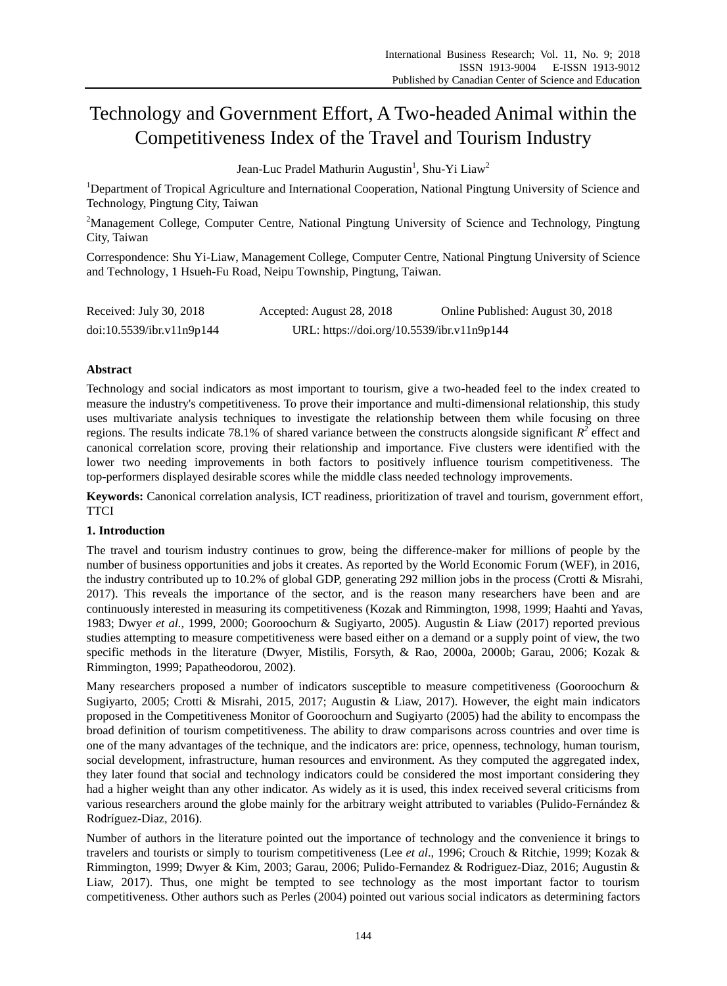# Technology and Government Effort, A Two-headed Animal within the Competitiveness Index of the Travel and Tourism Industry

Jean-Luc Pradel Mathurin Augustin<sup>1</sup>, Shu-Yi Liaw<sup>2</sup>

<sup>1</sup>Department of Tropical Agriculture and International Cooperation, National Pingtung University of Science and Technology, Pingtung City, Taiwan

<sup>2</sup>Management College, Computer Centre, National Pingtung University of Science and Technology, Pingtung City, Taiwan

Correspondence: Shu Yi-Liaw, Management College, Computer Centre, National Pingtung University of Science and Technology, 1 Hsueh-Fu Road, Neipu Township, Pingtung, Taiwan.

| Received: July 30, 2018   | Accepted: August 28, 2018                  | Online Published: August 30, 2018 |
|---------------------------|--------------------------------------------|-----------------------------------|
| doi:10.5539/ibr.v11n9p144 | URL: https://doi.org/10.5539/ibr.v11n9p144 |                                   |

# **Abstract**

Technology and social indicators as most important to tourism, give a two-headed feel to the index created to measure the industry's competitiveness. To prove their importance and multi-dimensional relationship, this study uses multivariate analysis techniques to investigate the relationship between them while focusing on three regions. The results indicate 78.1% of shared variance between the constructs alongside significant  $R^2$  effect and canonical correlation score, proving their relationship and importance. Five clusters were identified with the lower two needing improvements in both factors to positively influence tourism competitiveness. The top-performers displayed desirable scores while the middle class needed technology improvements.

**Keywords:** Canonical correlation analysis, ICT readiness, prioritization of travel and tourism, government effort, **TTCI** 

## **1. Introduction**

The travel and tourism industry continues to grow, being the difference-maker for millions of people by the number of business opportunities and jobs it creates. As reported by the World Economic Forum (WEF), in 2016, the industry contributed up to 10.2% of global GDP, generating 292 million jobs in the process (Crotti & Misrahi, 2017). This reveals the importance of the sector, and is the reason many researchers have been and are continuously interested in measuring its competitiveness (Kozak and Rimmington, 1998, 1999; Haahti and Yavas, 1983; Dwyer *et al.,* 1999, 2000; Gooroochurn & Sugiyarto, 2005). Augustin & Liaw (2017) reported previous studies attempting to measure competitiveness were based either on a demand or a supply point of view, the two specific methods in the literature (Dwyer, Mistilis, Forsyth, & Rao, 2000a, 2000b; Garau, 2006; Kozak & Rimmington, 1999; Papatheodorou, 2002).

Many researchers proposed a number of indicators susceptible to measure competitiveness (Gooroochurn & Sugiyarto, 2005; Crotti & Misrahi, 2015, 2017; Augustin & Liaw, 2017). However, the eight main indicators proposed in the Competitiveness Monitor of Gooroochurn and Sugiyarto (2005) had the ability to encompass the broad definition of tourism competitiveness. The ability to draw comparisons across countries and over time is one of the many advantages of the technique, and the indicators are: price, openness, technology, human tourism, social development, infrastructure, human resources and environment. As they computed the aggregated index, they later found that social and technology indicators could be considered the most important considering they had a higher weight than any other indicator. As widely as it is used, this index received several criticisms from various researchers around the globe mainly for the arbitrary weight attributed to variables (Pulido-Fernández & Rodr guez-Diaz, 2016).

Number of authors in the literature pointed out the importance of technology and the convenience it brings to travelers and tourists or simply to tourism competitiveness (Lee *et al*., 1996; Crouch & Ritchie, 1999; Kozak & Rimmington, 1999; Dwyer & Kim, 2003; Garau, 2006; Pulido-Fernandez & Rodriguez-Diaz, 2016; Augustin & Liaw, 2017). Thus, one might be tempted to see technology as the most important factor to tourism competitiveness. Other authors such as Perles (2004) pointed out various social indicators as determining factors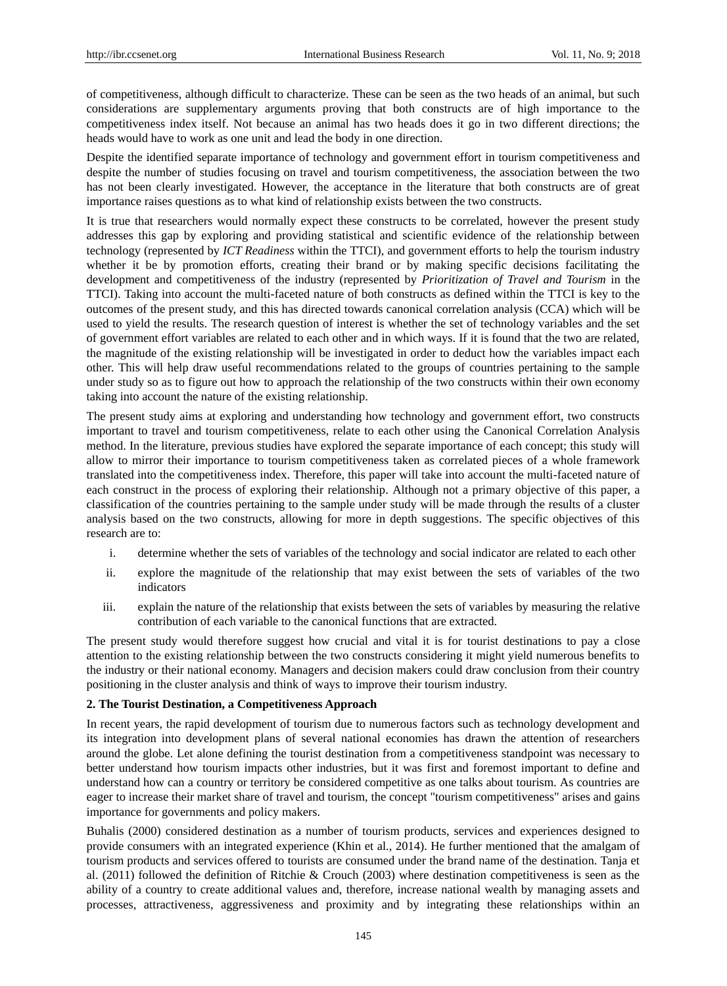of competitiveness, although difficult to characterize. These can be seen as the two heads of an animal, but such considerations are supplementary arguments proving that both constructs are of high importance to the competitiveness index itself. Not because an animal has two heads does it go in two different directions; the heads would have to work as one unit and lead the body in one direction.

Despite the identified separate importance of technology and government effort in tourism competitiveness and despite the number of studies focusing on travel and tourism competitiveness, the association between the two has not been clearly investigated. However, the acceptance in the literature that both constructs are of great importance raises questions as to what kind of relationship exists between the two constructs.

It is true that researchers would normally expect these constructs to be correlated, however the present study addresses this gap by exploring and providing statistical and scientific evidence of the relationship between technology (represented by *ICT Readiness* within the TTCI), and government efforts to help the tourism industry whether it be by promotion efforts, creating their brand or by making specific decisions facilitating the development and competitiveness of the industry (represented by *Prioritization of Travel and Tourism* in the TTCI). Taking into account the multi-faceted nature of both constructs as defined within the TTCI is key to the outcomes of the present study, and this has directed towards canonical correlation analysis (CCA) which will be used to yield the results. The research question of interest is whether the set of technology variables and the set of government effort variables are related to each other and in which ways. If it is found that the two are related, the magnitude of the existing relationship will be investigated in order to deduct how the variables impact each other. This will help draw useful recommendations related to the groups of countries pertaining to the sample under study so as to figure out how to approach the relationship of the two constructs within their own economy taking into account the nature of the existing relationship.

The present study aims at exploring and understanding how technology and government effort, two constructs important to travel and tourism competitiveness, relate to each other using the Canonical Correlation Analysis method. In the literature, previous studies have explored the separate importance of each concept; this study will allow to mirror their importance to tourism competitiveness taken as correlated pieces of a whole framework translated into the competitiveness index. Therefore, this paper will take into account the multi-faceted nature of each construct in the process of exploring their relationship. Although not a primary objective of this paper, a classification of the countries pertaining to the sample under study will be made through the results of a cluster analysis based on the two constructs, allowing for more in depth suggestions. The specific objectives of this research are to:

- i. determine whether the sets of variables of the technology and social indicator are related to each other
- ii. explore the magnitude of the relationship that may exist between the sets of variables of the two indicators
- iii. explain the nature of the relationship that exists between the sets of variables by measuring the relative contribution of each variable to the canonical functions that are extracted.

The present study would therefore suggest how crucial and vital it is for tourist destinations to pay a close attention to the existing relationship between the two constructs considering it might yield numerous benefits to the industry or their national economy. Managers and decision makers could draw conclusion from their country positioning in the cluster analysis and think of ways to improve their tourism industry.

## **2. The Tourist Destination, a Competitiveness Approach**

In recent years, the rapid development of tourism due to numerous factors such as technology development and its integration into development plans of several national economies has drawn the attention of researchers around the globe. Let alone defining the tourist destination from a competitiveness standpoint was necessary to better understand how tourism impacts other industries, but it was first and foremost important to define and understand how can a country or territory be considered competitive as one talks about tourism. As countries are eager to increase their market share of travel and tourism, the concept "tourism competitiveness" arises and gains importance for governments and policy makers.

Buhalis (2000) considered destination as a number of tourism products, services and experiences designed to provide consumers with an integrated experience (Khin et al., 2014). He further mentioned that the amalgam of tourism products and services offered to tourists are consumed under the brand name of the destination. Tanja et al. (2011) followed the definition of Ritchie & Crouch (2003) where destination competitiveness is seen as the ability of a country to create additional values and, therefore, increase national wealth by managing assets and processes, attractiveness, aggressiveness and proximity and by integrating these relationships within an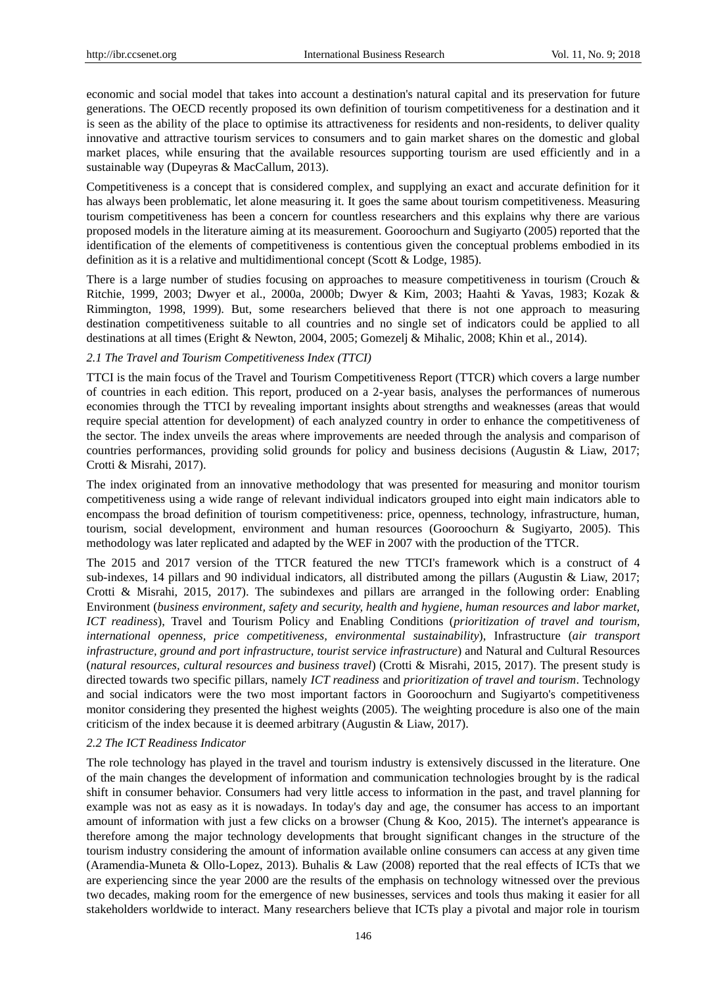economic and social model that takes into account a destination's natural capital and its preservation for future generations. The OECD recently proposed its own definition of tourism competitiveness for a destination and it is seen as the ability of the place to optimise its attractiveness for residents and non-residents, to deliver quality innovative and attractive tourism services to consumers and to gain market shares on the domestic and global market places, while ensuring that the available resources supporting tourism are used efficiently and in a sustainable way (Dupeyras & MacCallum, 2013).

Competitiveness is a concept that is considered complex, and supplying an exact and accurate definition for it has always been problematic, let alone measuring it. It goes the same about tourism competitiveness. Measuring tourism competitiveness has been a concern for countless researchers and this explains why there are various proposed models in the literature aiming at its measurement. Gooroochurn and Sugiyarto (2005) reported that the identification of the elements of competitiveness is contentious given the conceptual problems embodied in its definition as it is a relative and multidimentional concept (Scott & Lodge, 1985).

There is a large number of studies focusing on approaches to measure competitiveness in tourism (Crouch & Ritchie, 1999, 2003; Dwyer et al., 2000a, 2000b; Dwyer & Kim, 2003; Haahti & Yavas, 1983; Kozak & Rimmington, 1998, 1999). But, some researchers believed that there is not one approach to measuring destination competitiveness suitable to all countries and no single set of indicators could be applied to all destinations at all times (Eright & Newton, 2004, 2005; Gomezelj & Mihalic, 2008; Khin et al., 2014).

#### *2.1 The Travel and Tourism Competitiveness Index (TTCI)*

TTCI is the main focus of the Travel and Tourism Competitiveness Report (TTCR) which covers a large number of countries in each edition. This report, produced on a 2-year basis, analyses the performances of numerous economies through the TTCI by revealing important insights about strengths and weaknesses (areas that would require special attention for development) of each analyzed country in order to enhance the competitiveness of the sector. The index unveils the areas where improvements are needed through the analysis and comparison of countries performances, providing solid grounds for policy and business decisions (Augustin & Liaw, 2017; Crotti & Misrahi, 2017).

The index originated from an innovative methodology that was presented for measuring and monitor tourism competitiveness using a wide range of relevant individual indicators grouped into eight main indicators able to encompass the broad definition of tourism competitiveness: price, openness, technology, infrastructure, human, tourism, social development, environment and human resources (Gooroochurn & Sugiyarto, 2005). This methodology was later replicated and adapted by the WEF in 2007 with the production of the TTCR.

The 2015 and 2017 version of the TTCR featured the new TTCI's framework which is a construct of 4 sub-indexes, 14 pillars and 90 individual indicators, all distributed among the pillars (Augustin & Liaw, 2017; Crotti & Misrahi, 2015, 2017). The subindexes and pillars are arranged in the following order: Enabling Environment (*business environment, safety and security, health and hygiene, human resources and labor market, ICT readiness*), Travel and Tourism Policy and Enabling Conditions (*prioritization of travel and tourism, international openness, price competitiveness, environmental sustainability*), Infrastructure (*air transport infrastructure, ground and port infrastructure, tourist service infrastructure*) and Natural and Cultural Resources (*natural resources, cultural resources and business travel*) (Crotti & Misrahi, 2015, 2017). The present study is directed towards two specific pillars, namely *ICT readiness* and *prioritization of travel and tourism*. Technology and social indicators were the two most important factors in Gooroochurn and Sugiyarto's competitiveness monitor considering they presented the highest weights (2005). The weighting procedure is also one of the main criticism of the index because it is deemed arbitrary (Augustin & Liaw, 2017).

#### *2.2 The ICT Readiness Indicator*

The role technology has played in the travel and tourism industry is extensively discussed in the literature. One of the main changes the development of information and communication technologies brought by is the radical shift in consumer behavior. Consumers had very little access to information in the past, and travel planning for example was not as easy as it is nowadays. In today's day and age, the consumer has access to an important amount of information with just a few clicks on a browser (Chung & Koo, 2015). The internet's appearance is therefore among the major technology developments that brought significant changes in the structure of the tourism industry considering the amount of information available online consumers can access at any given time (Aramendia-Muneta & Ollo-Lopez, 2013). Buhalis & Law (2008) reported that the real effects of ICTs that we are experiencing since the year 2000 are the results of the emphasis on technology witnessed over the previous two decades, making room for the emergence of new businesses, services and tools thus making it easier for all stakeholders worldwide to interact. Many researchers believe that ICTs play a pivotal and major role in tourism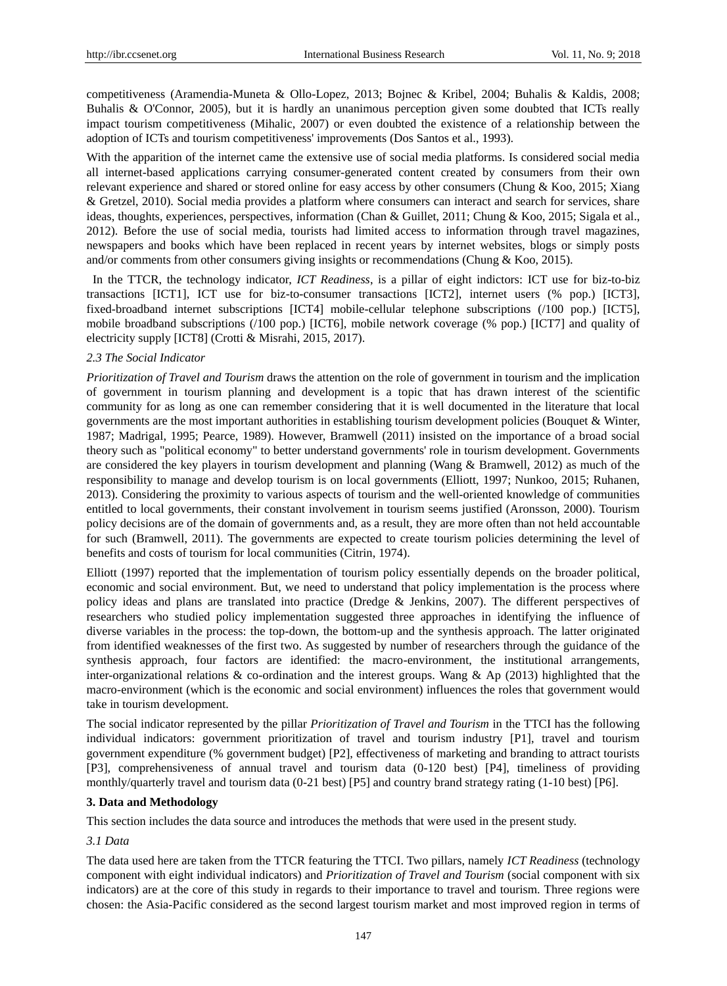competitiveness (Aramendia-Muneta & Ollo-Lopez, 2013; Bojnec & Kribel, 2004; Buhalis & Kaldis, 2008; Buhalis & O'Connor, 2005), but it is hardly an unanimous perception given some doubted that ICTs really impact tourism competitiveness (Mihalic, 2007) or even doubted the existence of a relationship between the adoption of ICTs and tourism competitiveness' improvements (Dos Santos et al., 1993).

With the apparition of the internet came the extensive use of social media platforms. Is considered social media all internet-based applications carrying consumer-generated content created by consumers from their own relevant experience and shared or stored online for easy access by other consumers (Chung & Koo, 2015; Xiang & Gretzel, 2010). Social media provides a platform where consumers can interact and search for services, share ideas, thoughts, experiences, perspectives, information (Chan & Guillet, 2011; Chung & Koo, 2015; Sigala et al., 2012). Before the use of social media, tourists had limited access to information through travel magazines, newspapers and books which have been replaced in recent years by internet websites, blogs or simply posts and/or comments from other consumers giving insights or recommendations (Chung & Koo, 2015).

In the TTCR, the technology indicator, *ICT Readiness*, is a pillar of eight indictors: ICT use for biz-to-biz transactions [ICT1], ICT use for biz-to-consumer transactions [ICT2], internet users (% pop.) [ICT3], fixed-broadband internet subscriptions [ICT4] mobile-cellular telephone subscriptions (/100 pop.) [ICT5], mobile broadband subscriptions (/100 pop.) [ICT6], mobile network coverage (% pop.) [ICT7] and quality of electricity supply [ICT8] (Crotti & Misrahi, 2015, 2017).

#### *2.3 The Social Indicator*

*Prioritization of Travel and Tourism* draws the attention on the role of government in tourism and the implication of government in tourism planning and development is a topic that has drawn interest of the scientific community for as long as one can remember considering that it is well documented in the literature that local governments are the most important authorities in establishing tourism development policies (Bouquet & Winter, 1987; Madrigal, 1995; Pearce, 1989). However, Bramwell (2011) insisted on the importance of a broad social theory such as "political economy" to better understand governments' role in tourism development. Governments are considered the key players in tourism development and planning (Wang & Bramwell, 2012) as much of the responsibility to manage and develop tourism is on local governments (Elliott, 1997; Nunkoo, 2015; Ruhanen, 2013). Considering the proximity to various aspects of tourism and the well-oriented knowledge of communities entitled to local governments, their constant involvement in tourism seems justified (Aronsson, 2000). Tourism policy decisions are of the domain of governments and, as a result, they are more often than not held accountable for such (Bramwell, 2011). The governments are expected to create tourism policies determining the level of benefits and costs of tourism for local communities (Citrin, 1974).

Elliott (1997) reported that the implementation of tourism policy essentially depends on the broader political, economic and social environment. But, we need to understand that policy implementation is the process where policy ideas and plans are translated into practice (Dredge & Jenkins, 2007). The different perspectives of researchers who studied policy implementation suggested three approaches in identifying the influence of diverse variables in the process: the top-down, the bottom-up and the synthesis approach. The latter originated from identified weaknesses of the first two. As suggested by number of researchers through the guidance of the synthesis approach, four factors are identified: the macro-environment, the institutional arrangements, inter-organizational relations  $\&$  co-ordination and the interest groups. Wang  $\&$  Ap (2013) highlighted that the macro-environment (which is the economic and social environment) influences the roles that government would take in tourism development.

The social indicator represented by the pillar *Prioritization of Travel and Tourism* in the TTCI has the following individual indicators: government prioritization of travel and tourism industry [P1], travel and tourism government expenditure (% government budget) [P2], effectiveness of marketing and branding to attract tourists [P3], comprehensiveness of annual travel and tourism data (0-120 best) [P4], timeliness of providing monthly/quarterly travel and tourism data (0-21 best) [P5] and country brand strategy rating (1-10 best) [P6].

## **3. Data and Methodology**

This section includes the data source and introduces the methods that were used in the present study.

### *3.1 Data*

The data used here are taken from the TTCR featuring the TTCI. Two pillars, namely *ICT Readiness* (technology component with eight individual indicators) and *Prioritization of Travel and Tourism* (social component with six indicators) are at the core of this study in regards to their importance to travel and tourism. Three regions were chosen: the Asia-Pacific considered as the second largest tourism market and most improved region in terms of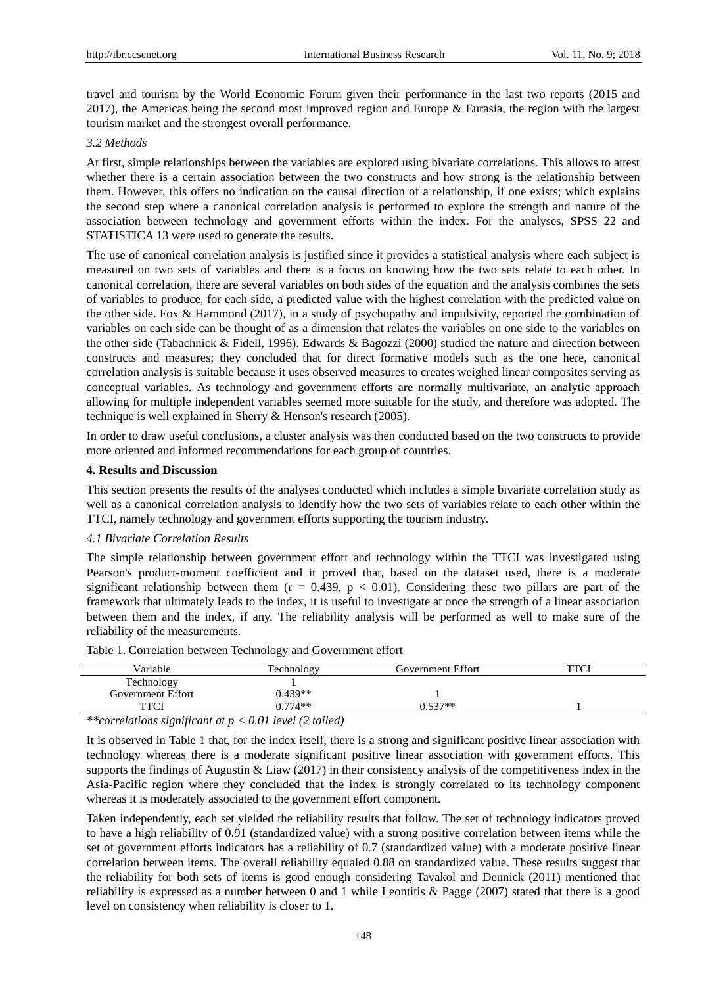travel and tourism by the World Economic Forum given their performance in the last two reports (2015 and 2017), the Americas being the second most improved region and Europe & Eurasia, the region with the largest tourism market and the strongest overall performance.

#### *3.2 Methods*

At first, simple relationships between the variables are explored using bivariate correlations. This allows to attest whether there is a certain association between the two constructs and how strong is the relationship between them. However, this offers no indication on the causal direction of a relationship, if one exists; which explains the second step where a canonical correlation analysis is performed to explore the strength and nature of the association between technology and government efforts within the index. For the analyses, SPSS 22 and STATISTICA 13 were used to generate the results.

The use of canonical correlation analysis is justified since it provides a statistical analysis where each subject is measured on two sets of variables and there is a focus on knowing how the two sets relate to each other. In canonical correlation, there are several variables on both sides of the equation and the analysis combines the sets of variables to produce, for each side, a predicted value with the highest correlation with the predicted value on the other side. Fox & Hammond (2017), in a study of psychopathy and impulsivity, reported the combination of variables on each side can be thought of as a dimension that relates the variables on one side to the variables on the other side (Tabachnick & Fidell, 1996). Edwards & Bagozzi (2000) studied the nature and direction between constructs and measures; they concluded that for direct formative models such as the one here, canonical correlation analysis is suitable because it uses observed measures to creates weighed linear composites serving as conceptual variables. As technology and government efforts are normally multivariate, an analytic approach allowing for multiple independent variables seemed more suitable for the study, and therefore was adopted. The technique is well explained in Sherry & Henson's research (2005).

In order to draw useful conclusions, a cluster analysis was then conducted based on the two constructs to provide more oriented and informed recommendations for each group of countries.

#### **4. Results and Discussion**

This section presents the results of the analyses conducted which includes a simple bivariate correlation study as well as a canonical correlation analysis to identify how the two sets of variables relate to each other within the TTCI, namely technology and government efforts supporting the tourism industry.

#### *4.1 Bivariate Correlation Results*

The simple relationship between government effort and technology within the TTCI was investigated using Pearson's product-moment coefficient and it proved that, based on the dataset used, there is a moderate significant relationship between them ( $r = 0.439$ ,  $p < 0.01$ ). Considering these two pillars are part of the framework that ultimately leads to the index, it is useful to investigate at once the strength of a linear association between them and the index, if any. The reliability analysis will be performed as well to make sure of the reliability of the measurements.

|  |  | Table 1. Correlation between Technology and Government effort |
|--|--|---------------------------------------------------------------|
|  |  |                                                               |

| Variable          | Technology | <b>Government Effort</b> | TTCI |
|-------------------|------------|--------------------------|------|
| Technology        |            |                          |      |
| Government Effort | 0.439**    |                          |      |
| <b>TTC'</b>       | $0.774**$  | 0.537**                  |      |
|                   |            |                          |      |

*\*\*correlations significant at p < 0.01 level (2 tailed)*

It is observed in Table 1 that, for the index itself, there is a strong and significant positive linear association with technology whereas there is a moderate significant positive linear association with government efforts. This supports the findings of Augustin & Liaw  $(2017)$  in their consistency analysis of the competitiveness index in the Asia-Pacific region where they concluded that the index is strongly correlated to its technology component whereas it is moderately associated to the government effort component.

Taken independently, each set yielded the reliability results that follow. The set of technology indicators proved to have a high reliability of 0.91 (standardized value) with a strong positive correlation between items while the set of government efforts indicators has a reliability of 0.7 (standardized value) with a moderate positive linear correlation between items. The overall reliability equaled 0.88 on standardized value. These results suggest that the reliability for both sets of items is good enough considering Tavakol and Dennick (2011) mentioned that reliability is expressed as a number between 0 and 1 while Leontitis & Pagge (2007) stated that there is a good level on consistency when reliability is closer to 1.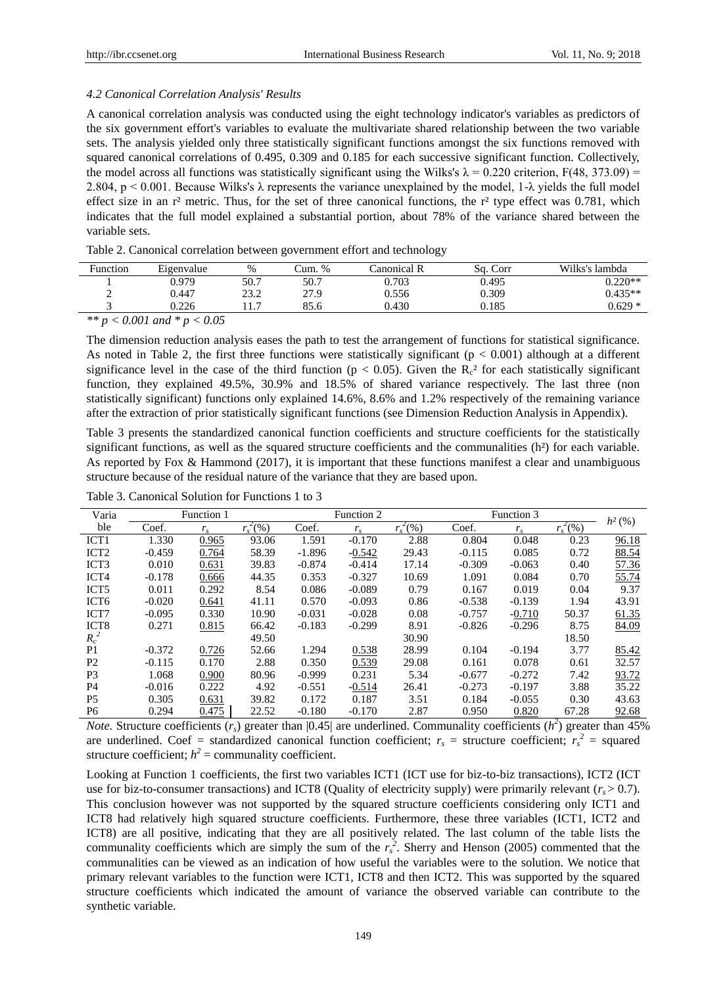#### *4.2 Canonical Correlation Analysis' Results*

A canonical correlation analysis was conducted using the eight technology indicator's variables as predictors of the six government effort's variables to evaluate the multivariate shared relationship between the two variable sets. The analysis yielded only three statistically significant functions amongst the six functions removed with squared canonical correlations of 0.495, 0.309 and 0.185 for each successive significant function. Collectively, the model across all functions was statistically significant using the Wilks's  $\lambda = 0.220$  criterion, F(48, 373.09) = 2.804,  $p < 0.001$ . Because Wilks's  $\lambda$  represents the variance unexplained by the model, 1- $\lambda$  yields the full model effect size in an r<sup>2</sup> metric. Thus, for the set of three canonical functions, the r<sup>2</sup> type effect was 0.781, which indicates that the full model explained a substantial portion, about 78% of the variance shared between the variable sets.

| Function                                                                        | Eigenvalue                                                                                  | %                   | `um. % | Canonical R | Corr<br>Sa. | Wilks's lambda |
|---------------------------------------------------------------------------------|---------------------------------------------------------------------------------------------|---------------------|--------|-------------|-------------|----------------|
|                                                                                 | 0.979                                                                                       | 50.7                | 50.7   | 0.703       | 0.495       | $0.220**$      |
|                                                                                 | 0.447                                                                                       | າາ າ<br>ے ۔ ب       | 27.9   | 0.556       | 0.309       | $0.435**$      |
|                                                                                 | 0.226                                                                                       | $\overline{ }$<br>. | 85.6   | 0.430       | 0.185       | $0.629*$       |
| the contract of the contract of the contract of the contract of the contract of | the contract of the contract of the con-<br>the contract of the contract of the contract of |                     |        |             |             |                |

| Table 2. Canonical correlation between government effort and technology |  |
|-------------------------------------------------------------------------|--|
|                                                                         |  |

*\*\* p < 0.001 and \* p < 0.05*

The dimension reduction analysis eases the path to test the arrangement of functions for statistical significance. As noted in Table 2, the first three functions were statistically significant ( $p < 0.001$ ) although at a different significance level in the case of the third function ( $p < 0.05$ ). Given the  $R_c$ <sup>2</sup> for each statistically significant function, they explained 49.5%, 30.9% and 18.5% of shared variance respectively. The last three (non statistically significant) functions only explained 14.6%, 8.6% and 1.2% respectively of the remaining variance after the extraction of prior statistically significant functions (see Dimension Reduction Analysis in Appendix).

Table 3 presents the standardized canonical function coefficients and structure coefficients for the statistically significant functions, as well as the squared structure coefficients and the communalities (h $\hat{ }$ ) for each variable. As reported by Fox & Hammond (2017), it is important that these functions manifest a clear and unambiguous structure because of the residual nature of the variance that they are based upon.

| Varia            |          | Function 1  |                 |          | Function 2  |             |          | Function 3  |             | $h^{2}(\%)$ |
|------------------|----------|-------------|-----------------|----------|-------------|-------------|----------|-------------|-------------|-------------|
| ble              | Coef.    | $r_{\rm s}$ | $r_{s}^{2}$ (%) | Coef.    | $r_{\rm s}$ | $r_s^2(\%)$ | Coef.    | $r_{\rm s}$ | $r_s^2(\%)$ |             |
| ICT <sub>1</sub> | 1.330    | 0.965       | 93.06           | 1.591    | $-0.170$    | 2.88        | 0.804    | 0.048       | 0.23        | 96.18       |
| ICT <sub>2</sub> | $-0.459$ | 0.764       | 58.39           | $-1.896$ | $-0.542$    | 29.43       | $-0.115$ | 0.085       | 0.72        | 88.54       |
| ICT <sub>3</sub> | 0.010    | 0.631       | 39.83           | $-0.874$ | $-0.414$    | 17.14       | $-0.309$ | $-0.063$    | 0.40        | 57.36       |
| ICT4             | $-0.178$ | 0.666       | 44.35           | 0.353    | $-0.327$    | 10.69       | 1.091    | 0.084       | 0.70        | 55.74       |
| ICT <sub>5</sub> | 0.011    | 0.292       | 8.54            | 0.086    | $-0.089$    | 0.79        | 0.167    | 0.019       | 0.04        | 9.37        |
| ICT <sub>6</sub> | $-0.020$ | 0.641       | 41.11           | 0.570    | $-0.093$    | 0.86        | $-0.538$ | $-0.139$    | 1.94        | 43.91       |
| ICT7             | $-0.095$ | 0.330       | 10.90           | $-0.031$ | $-0.028$    | 0.08        | $-0.757$ | $-0.710$    | 50.37       | 61.35       |
| ICT <sub>8</sub> | 0.271    | 0.815       | 66.42           | $-0.183$ | $-0.299$    | 8.91        | $-0.826$ | $-0.296$    | 8.75        | 84.09       |
| $R_c^2$          |          |             | 49.50           |          |             | 30.90       |          |             | 18.50       |             |
| P <sub>1</sub>   | $-0.372$ | 0.726       | 52.66           | 1.294    | 0.538       | 28.99       | 0.104    | $-0.194$    | 3.77        | 85.42       |
| P <sub>2</sub>   | $-0.115$ | 0.170       | 2.88            | 0.350    | 0.539       | 29.08       | 0.161    | 0.078       | 0.61        | 32.57       |
| P <sub>3</sub>   | 1.068    | 0.900       | 80.96           | $-0.999$ | 0.231       | 5.34        | $-0.677$ | $-0.272$    | 7.42        | 93.72       |
| <b>P4</b>        | $-0.016$ | 0.222       | 4.92            | $-0.551$ | $-0.514$    | 26.41       | $-0.273$ | $-0.197$    | 3.88        | 35.22       |
| P <sub>5</sub>   | 0.305    | 0.631       | 39.82           | 0.172    | 0.187       | 3.51        | 0.184    | $-0.055$    | 0.30        | 43.63       |
| P <sub>6</sub>   | 0.294    | 0.475       | 22.52           | $-0.180$ | $-0.170$    | 2.87        | 0.950    | 0.820       | 67.28       | 92.68       |

Table 3. Canonical Solution for Functions 1 to 3

*Note.* Structure coefficients  $(r_s)$  greater than  $|0.45|$  are underlined. Communality coefficients  $(h^2)$  greater than 45% are underlined. Coef = standardized canonical function coefficient;  $r_s$  = structure coefficient;  $r_s^2$  = squared structure coefficient;  $h^2$  = communality coefficient.

Looking at Function 1 coefficients, the first two variables ICT1 (ICT use for biz-to-biz transactions), ICT2 (ICT use for biz-to-consumer transactions) and ICT8 (Quality of electricity supply) were primarily relevant  $(r<sub>s</sub> > 0.7)$ . This conclusion however was not supported by the squared structure coefficients considering only ICT1 and ICT8 had relatively high squared structure coefficients. Furthermore, these three variables (ICT1, ICT2 and ICT8) are all positive, indicating that they are all positively related. The last column of the table lists the communality coefficients which are simply the sum of the  $r_s^2$ . Sherry and Henson (2005) commented that the communalities can be viewed as an indication of how useful the variables were to the solution. We notice that primary relevant variables to the function were ICT1, ICT8 and then ICT2. This was supported by the squared structure coefficients which indicated the amount of variance the observed variable can contribute to the synthetic variable.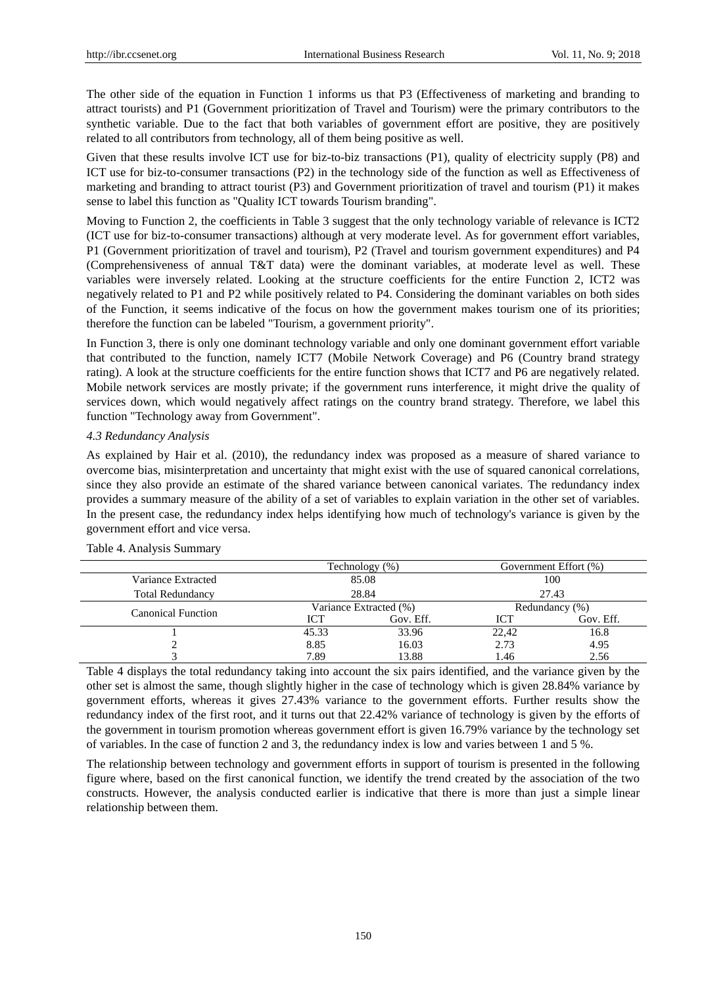The other side of the equation in Function 1 informs us that P3 (Effectiveness of marketing and branding to attract tourists) and P1 (Government prioritization of Travel and Tourism) were the primary contributors to the synthetic variable. Due to the fact that both variables of government effort are positive, they are positively related to all contributors from technology, all of them being positive as well.

Given that these results involve ICT use for biz-to-biz transactions (P1), quality of electricity supply (P8) and ICT use for biz-to-consumer transactions (P2) in the technology side of the function as well as Effectiveness of marketing and branding to attract tourist (P3) and Government prioritization of travel and tourism (P1) it makes sense to label this function as "Quality ICT towards Tourism branding".

Moving to Function 2, the coefficients in Table 3 suggest that the only technology variable of relevance is ICT2 (ICT use for biz-to-consumer transactions) although at very moderate level. As for government effort variables, P1 (Government prioritization of travel and tourism), P2 (Travel and tourism government expenditures) and P4 (Comprehensiveness of annual T&T data) were the dominant variables, at moderate level as well. These variables were inversely related. Looking at the structure coefficients for the entire Function 2, ICT2 was negatively related to P1 and P2 while positively related to P4. Considering the dominant variables on both sides of the Function, it seems indicative of the focus on how the government makes tourism one of its priorities; therefore the function can be labeled "Tourism, a government priority".

In Function 3, there is only one dominant technology variable and only one dominant government effort variable that contributed to the function, namely ICT7 (Mobile Network Coverage) and P6 (Country brand strategy rating). A look at the structure coefficients for the entire function shows that ICT7 and P6 are negatively related. Mobile network services are mostly private; if the government runs interference, it might drive the quality of services down, which would negatively affect ratings on the country brand strategy. Therefore, we label this function "Technology away from Government".

#### *4.3 Redundancy Analysis*

As explained by Hair et al. (2010), the redundancy index was proposed as a measure of shared variance to overcome bias, misinterpretation and uncertainty that might exist with the use of squared canonical correlations, since they also provide an estimate of the shared variance between canonical variates. The redundancy index provides a summary measure of the ability of a set of variables to explain variation in the other set of variables. In the present case, the redundancy index helps identifying how much of technology's variance is given by the government effort and vice versa.

|                         | Technology (%)         |           |                   | Government Effort (%) |
|-------------------------|------------------------|-----------|-------------------|-----------------------|
| Variance Extracted      |                        | 85.08     | 100               |                       |
| <b>Total Redundancy</b> | 28.84                  |           | 27.43             |                       |
| Canonical Function      | Variance Extracted (%) |           | Redundancy $(\%)$ |                       |
|                         | ICT                    | Gov. Eff. | ICT               | Gov. Eff.             |
|                         | 45.33                  | 33.96     | 22,42             | 16.8                  |
|                         | 8.85                   | 16.03     | 2.73              | 4.95                  |
|                         | 7.89                   | 13.88     | 1.46              | 2.56                  |

#### Table 4. Analysis Summary

Table 4 displays the total redundancy taking into account the six pairs identified, and the variance given by the other set is almost the same, though slightly higher in the case of technology which is given 28.84% variance by government efforts, whereas it gives 27.43% variance to the government efforts. Further results show the redundancy index of the first root, and it turns out that 22.42% variance of technology is given by the efforts of the government in tourism promotion whereas government effort is given 16.79% variance by the technology set of variables. In the case of function 2 and 3, the redundancy index is low and varies between 1 and 5 %.

The relationship between technology and government efforts in support of tourism is presented in the following figure where, based on the first canonical function, we identify the trend created by the association of the two constructs. However, the analysis conducted earlier is indicative that there is more than just a simple linear relationship between them.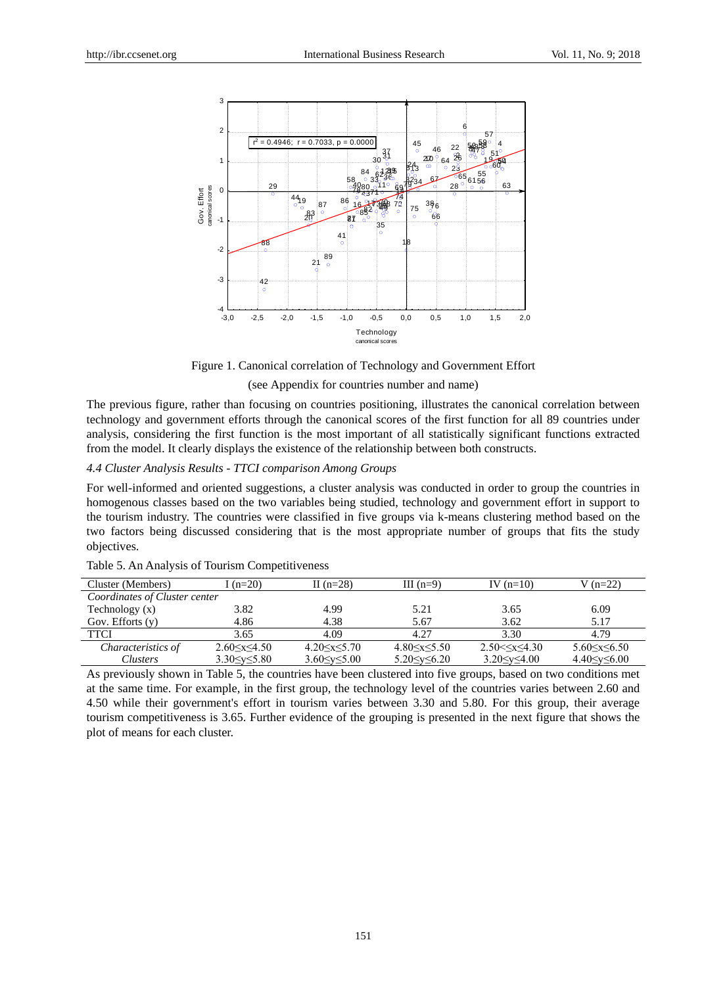

Figure 1. Canonical correlation of Technology and Government Effort

#### (see Appendix for countries number and name)

The previous figure, rather than focusing on countries positioning, illustrates the canonical correlation between technology and government efforts through the canonical scores of the first function for all 89 countries under analysis, considering the first function is the most important of all statistically significant functions extracted from the model. It clearly displays the existence of the relationship between both constructs.

### *4.4 Cluster Analysis Results - TTCI comparison Among Groups*

For well-informed and oriented suggestions, a cluster analysis was conducted in order to group the countries in homogenous classes based on the two variables being studied, technology and government effort in support to the tourism industry. The countries were classified in five groups via k-means clustering method based on the two factors being discussed considering that is the most appropriate number of groups that fits the study objectives.

| Cluster (Members)             | $(n=20)$              | II $(n=28)$           | III $(n=9)$           | IV $(n=10)$           | $V(n=22)$             |
|-------------------------------|-----------------------|-----------------------|-----------------------|-----------------------|-----------------------|
| Coordinates of Cluster center |                       |                       |                       |                       |                       |
| Technology $(x)$              | 3.82                  | 4.99                  | 5.21                  | 3.65                  | 6.09                  |
| Gov. Efforts $(v)$            | 4.86                  | 4.38                  | 5.67                  | 3.62                  | 5.17                  |
| TTCI                          | 3.65                  | 4.09                  | 4.27                  | 3.30                  | 4.79                  |
| Characteristics of            | $2.60 \le x \le 4.50$ | $4.20 \le x \le 5.70$ | $4.80 \le x \le 5.50$ | 2.50 < x < 4.30       | $5.60 \le x \le 6.50$ |
| Clusters                      | $3.30 \le y \le 5.80$ | $3.60 \le y \le 5.00$ | $5.20 \le y \le 6.20$ | $3.20 \le y \le 4.00$ | $4.40 \le y \le 6.00$ |

Table 5. An Analysis of Tourism Competitiveness

As previously shown in Table 5, the countries have been clustered into five groups, based on two conditions met at the same time. For example, in the first group, the technology level of the countries varies between 2.60 and 4.50 while their government's effort in tourism varies between 3.30 and 5.80. For this group, their average tourism competitiveness is 3.65. Further evidence of the grouping is presented in the next figure that shows the plot of means for each cluster.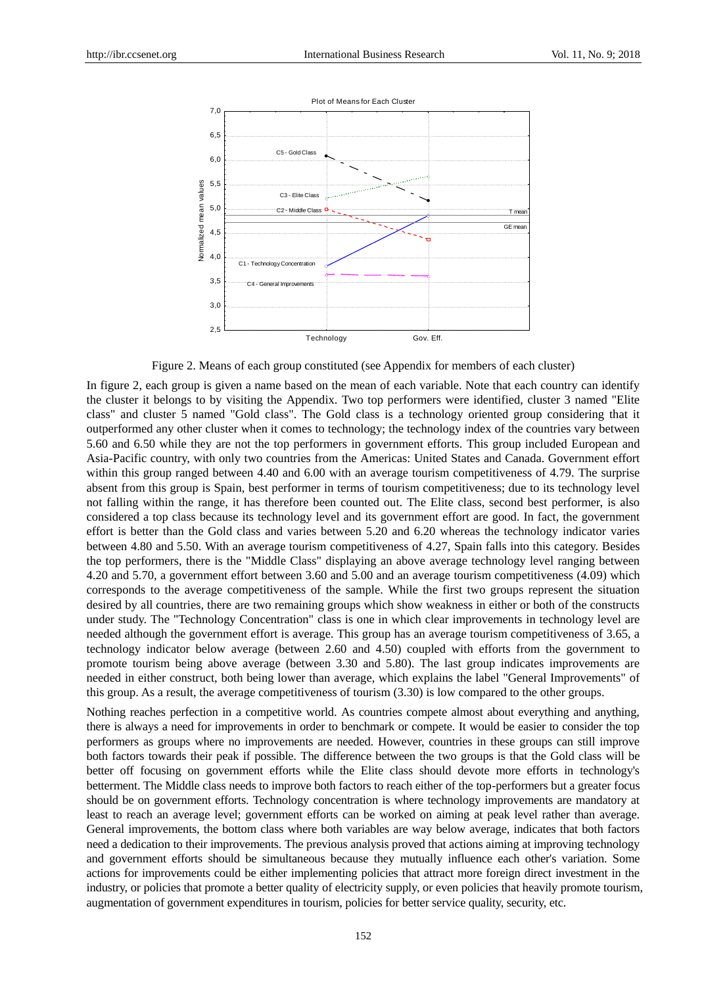

Figure 2. Means of each group constituted (see Appendix for members of each cluster)

In figure 2, each group is given a name based on the mean of each variable. Note that each country can identify the cluster it belongs to by visiting the Appendix. Two top performers were identified, cluster 3 named "Elite class" and cluster 5 named "Gold class". The Gold class is a technology oriented group considering that it outperformed any other cluster when it comes to technology; the technology index of the countries vary between 5.60 and 6.50 while they are not the top performers in government efforts. This group included European and Asia-Pacific country, with only two countries from the Americas: United States and Canada. Government effort within this group ranged between 4.40 and 6.00 with an average tourism competitiveness of 4.79. The surprise absent from this group is Spain, best performer in terms of tourism competitiveness; due to its technology level not falling within the range, it has therefore been counted out. The Elite class, second best performer, is also considered a top class because its technology level and its government effort are good. In fact, the government effort is better than the Gold class and varies between 5.20 and 6.20 whereas the technology indicator varies between 4.80 and 5.50. With an average tourism competitiveness of 4.27, Spain falls into this category. Besides the top performers, there is the "Middle Class" displaying an above average technology level ranging between 4.20 and 5.70, a government effort between 3.60 and 5.00 and an average tourism competitiveness (4.09) which corresponds to the average competitiveness of the sample. While the first two groups represent the situation desired by all countries, there are two remaining groups which show weakness in either or both of the constructs under study. The "Technology Concentration" class is one in which clear improvements in technology level are needed although the government effort is average. This group has an average tourism competitiveness of 3.65, a technology indicator below average (between 2.60 and 4.50) coupled with efforts from the government to promote tourism being above average (between 3.30 and 5.80). The last group indicates improvements are needed in either construct, both being lower than average, which explains the label "General Improvements" of this group. As a result, the average competitiveness of tourism (3.30) is low compared to the other groups.

Nothing reaches perfection in a competitive world. As countries compete almost about everything and anything, there is always a need for improvements in order to benchmark or compete. It would be easier to consider the top performers as groups where no improvements are needed. However, countries in these groups can still improve both factors towards their peak if possible. The difference between the two groups is that the Gold class will be better off focusing on government efforts while the Elite class should devote more efforts in technology's betterment. The Middle class needs to improve both factors to reach either of the top-performers but a greater focus should be on government efforts. Technology concentration is where technology improvements are mandatory at least to reach an average level; government efforts can be worked on aiming at peak level rather than average. General improvements, the bottom class where both variables are way below average, indicates that both factors need a dedication to their improvements. The previous analysis proved that actions aiming at improving technology and government efforts should be simultaneous because they mutually influence each other's variation. Some actions for improvements could be either implementing policies that attract more foreign direct investment in the industry, or policies that promote a better quality of electricity supply, or even policies that heavily promote tourism, augmentation of government expenditures in tourism, policies for better service quality, security, etc.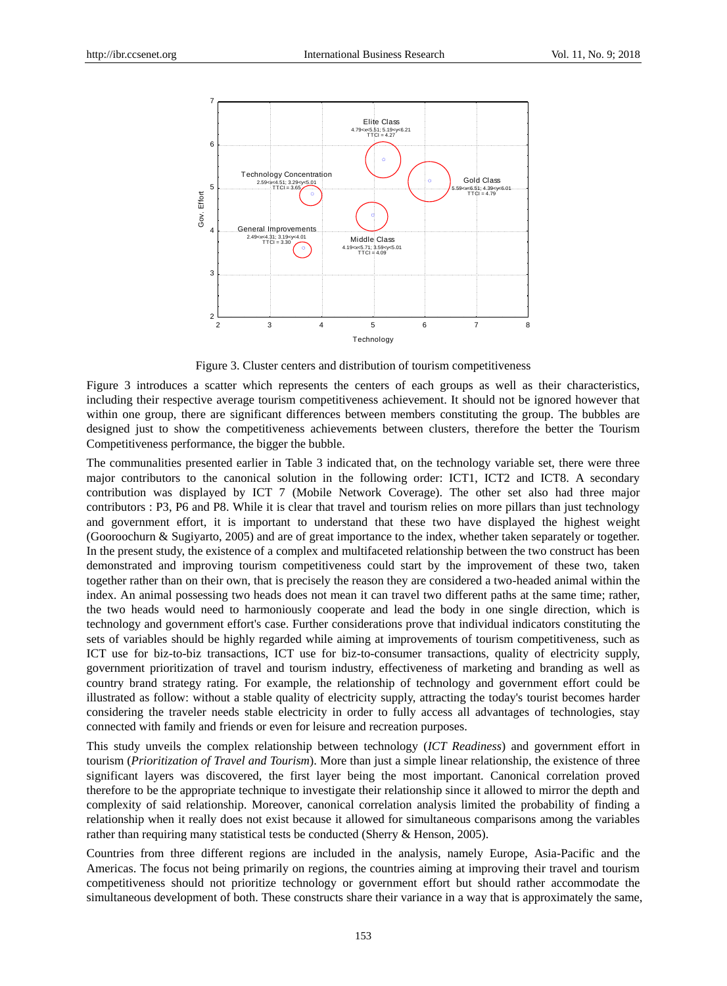

Figure 3. Cluster centers and distribution of tourism competitiveness

Figure 3 introduces a scatter which represents the centers of each groups as well as their characteristics, including their respective average tourism competitiveness achievement. It should not be ignored however that within one group, there are significant differences between members constituting the group. The bubbles are designed just to show the competitiveness achievements between clusters, therefore the better the Tourism Competitiveness performance, the bigger the bubble.

The communalities presented earlier in Table 3 indicated that, on the technology variable set, there were three major contributors to the canonical solution in the following order: ICT1, ICT2 and ICT8. A secondary contribution was displayed by ICT 7 (Mobile Network Coverage). The other set also had three major contributors : P3, P6 and P8. While it is clear that travel and tourism relies on more pillars than just technology and government effort, it is important to understand that these two have displayed the highest weight (Gooroochurn & Sugiyarto, 2005) and are of great importance to the index, whether taken separately or together. In the present study, the existence of a complex and multifaceted relationship between the two construct has been demonstrated and improving tourism competitiveness could start by the improvement of these two, taken together rather than on their own, that is precisely the reason they are considered a two-headed animal within the index. An animal possessing two heads does not mean it can travel two different paths at the same time; rather, the two heads would need to harmoniously cooperate and lead the body in one single direction, which is technology and government effort's case. Further considerations prove that individual indicators constituting the sets of variables should be highly regarded while aiming at improvements of tourism competitiveness, such as ICT use for biz-to-biz transactions, ICT use for biz-to-consumer transactions, quality of electricity supply, government prioritization of travel and tourism industry, effectiveness of marketing and branding as well as country brand strategy rating. For example, the relationship of technology and government effort could be illustrated as follow: without a stable quality of electricity supply, attracting the today's tourist becomes harder considering the traveler needs stable electricity in order to fully access all advantages of technologies, stay connected with family and friends or even for leisure and recreation purposes.

This study unveils the complex relationship between technology (*ICT Readiness*) and government effort in tourism (*Prioritization of Travel and Tourism*). More than just a simple linear relationship, the existence of three significant layers was discovered, the first layer being the most important. Canonical correlation proved therefore to be the appropriate technique to investigate their relationship since it allowed to mirror the depth and complexity of said relationship. Moreover, canonical correlation analysis limited the probability of finding a relationship when it really does not exist because it allowed for simultaneous comparisons among the variables rather than requiring many statistical tests be conducted (Sherry & Henson, 2005).

Countries from three different regions are included in the analysis, namely Europe, Asia-Pacific and the Americas. The focus not being primarily on regions, the countries aiming at improving their travel and tourism competitiveness should not prioritize technology or government effort but should rather accommodate the simultaneous development of both. These constructs share their variance in a way that is approximately the same,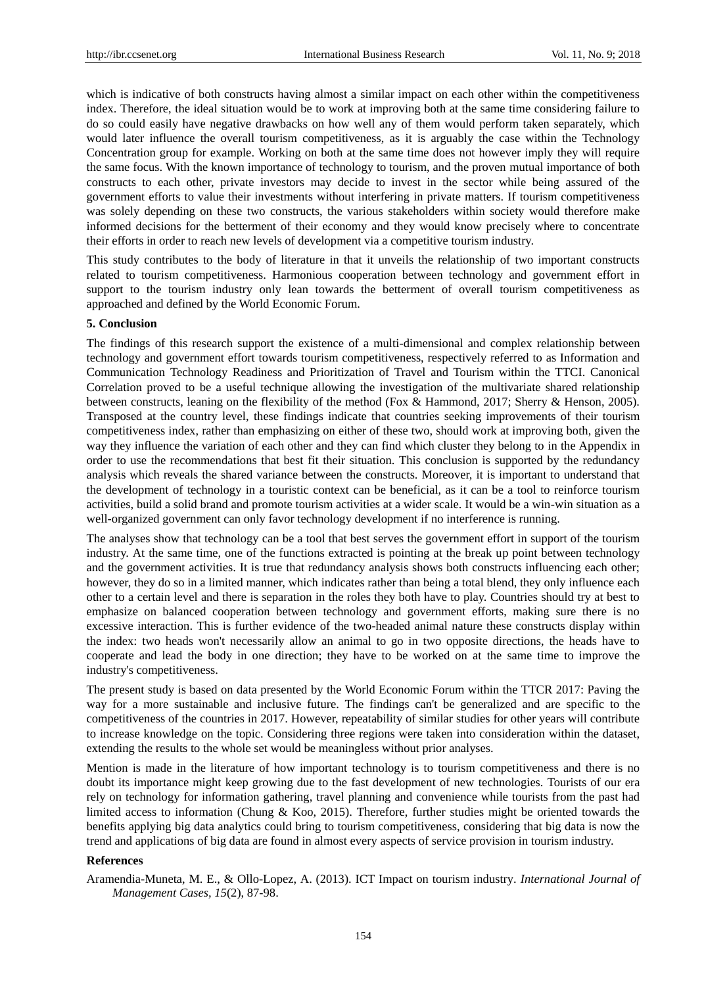which is indicative of both constructs having almost a similar impact on each other within the competitiveness index. Therefore, the ideal situation would be to work at improving both at the same time considering failure to do so could easily have negative drawbacks on how well any of them would perform taken separately, which would later influence the overall tourism competitiveness, as it is arguably the case within the Technology Concentration group for example. Working on both at the same time does not however imply they will require the same focus. With the known importance of technology to tourism, and the proven mutual importance of both constructs to each other, private investors may decide to invest in the sector while being assured of the government efforts to value their investments without interfering in private matters. If tourism competitiveness was solely depending on these two constructs, the various stakeholders within society would therefore make informed decisions for the betterment of their economy and they would know precisely where to concentrate their efforts in order to reach new levels of development via a competitive tourism industry.

This study contributes to the body of literature in that it unveils the relationship of two important constructs related to tourism competitiveness. Harmonious cooperation between technology and government effort in support to the tourism industry only lean towards the betterment of overall tourism competitiveness as approached and defined by the World Economic Forum.

#### **5. Conclusion**

The findings of this research support the existence of a multi-dimensional and complex relationship between technology and government effort towards tourism competitiveness, respectively referred to as Information and Communication Technology Readiness and Prioritization of Travel and Tourism within the TTCI. Canonical Correlation proved to be a useful technique allowing the investigation of the multivariate shared relationship between constructs, leaning on the flexibility of the method (Fox & Hammond, 2017; Sherry & Henson, 2005). Transposed at the country level, these findings indicate that countries seeking improvements of their tourism competitiveness index, rather than emphasizing on either of these two, should work at improving both, given the way they influence the variation of each other and they can find which cluster they belong to in the Appendix in order to use the recommendations that best fit their situation. This conclusion is supported by the redundancy analysis which reveals the shared variance between the constructs. Moreover, it is important to understand that the development of technology in a touristic context can be beneficial, as it can be a tool to reinforce tourism activities, build a solid brand and promote tourism activities at a wider scale. It would be a win-win situation as a well-organized government can only favor technology development if no interference is running.

The analyses show that technology can be a tool that best serves the government effort in support of the tourism industry. At the same time, one of the functions extracted is pointing at the break up point between technology and the government activities. It is true that redundancy analysis shows both constructs influencing each other; however, they do so in a limited manner, which indicates rather than being a total blend, they only influence each other to a certain level and there is separation in the roles they both have to play. Countries should try at best to emphasize on balanced cooperation between technology and government efforts, making sure there is no excessive interaction. This is further evidence of the two-headed animal nature these constructs display within the index: two heads won't necessarily allow an animal to go in two opposite directions, the heads have to cooperate and lead the body in one direction; they have to be worked on at the same time to improve the industry's competitiveness.

The present study is based on data presented by the World Economic Forum within the TTCR 2017: Paving the way for a more sustainable and inclusive future. The findings can't be generalized and are specific to the competitiveness of the countries in 2017. However, repeatability of similar studies for other years will contribute to increase knowledge on the topic. Considering three regions were taken into consideration within the dataset, extending the results to the whole set would be meaningless without prior analyses.

Mention is made in the literature of how important technology is to tourism competitiveness and there is no doubt its importance might keep growing due to the fast development of new technologies. Tourists of our era rely on technology for information gathering, travel planning and convenience while tourists from the past had limited access to information (Chung & Koo, 2015). Therefore, further studies might be oriented towards the benefits applying big data analytics could bring to tourism competitiveness, considering that big data is now the trend and applications of big data are found in almost every aspects of service provision in tourism industry.

#### **References**

Aramendia-Muneta, M. E., & Ollo-Lopez, A. (2013). ICT Impact on tourism industry. *International Journal of Management Cases, 15*(2), 87-98.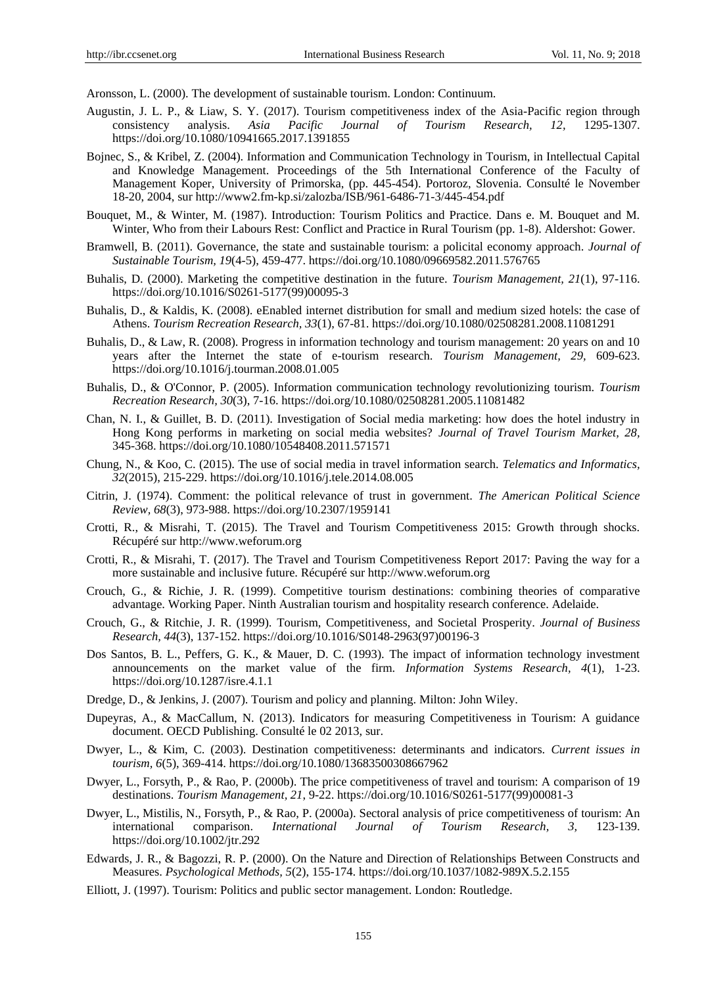Aronsson, L. (2000). The development of sustainable tourism. London: Continuum.

- Augustin, J. L. P., & Liaw, S. Y. (2017). Tourism competitiveness index of the Asia-Pacific region through consistency analysis. Asia Pacific Journal of Tourism Research. 12. 1295-1307. consistency analysis. *Asia Pacific Journal of Tourism Research, 12,* 1295-1307. https://doi.org/10.1080/10941665.2017.1391855
- Bojnec, S., & Kribel, Z. (2004). Information and Communication Technology in Tourism, in Intellectual Capital and Knowledge Management. Proceedings of the 5th International Conference of the Faculty of Management Koper, University of Primorska, (pp. 445-454). Portoroz, Slovenia. Consulté le November 18-20, 2004, sur http://www2.fm-kp.si/zalozba/ISB/961-6486-71-3/445-454.pdf
- Bouquet, M., & Winter, M. (1987). Introduction: Tourism Politics and Practice. Dans e. M. Bouquet and M. Winter, Who from their Labours Rest: Conflict and Practice in Rural Tourism (pp. 1-8). Aldershot: Gower.
- Bramwell, B. (2011). Governance, the state and sustainable tourism: a policital economy approach. *Journal of Sustainable Tourism, 19*(4-5), 459-477. https://doi.org/10.1080/09669582.2011.576765
- Buhalis, D. (2000). Marketing the competitive destination in the future. *Tourism Management, 21*(1), 97-116. https://doi.org/10.1016/S0261-5177(99)00095-3
- Buhalis, D., & Kaldis, K. (2008). eEnabled internet distribution for small and medium sized hotels: the case of Athens. *Tourism Recreation Research, 33*(1), 67-81. https://doi.org/10.1080/02508281.2008.11081291
- Buhalis, D., & Law, R. (2008). Progress in information technology and tourism management: 20 years on and 10 years after the Internet the state of e-tourism research. *Tourism Management, 29,* 609-623. https://doi.org/10.1016/j.tourman.2008.01.005
- Buhalis, D., & O'Connor, P. (2005). Information communication technology revolutionizing tourism. *Tourism Recreation Research, 30*(3), 7-16. https://doi.org/10.1080/02508281.2005.11081482
- Chan, N. I., & Guillet, B. D. (2011). Investigation of Social media marketing: how does the hotel industry in Hong Kong performs in marketing on social media websites? *Journal of Travel Tourism Market, 28,*  345-368. https://doi.org/10.1080/10548408.2011.571571
- Chung, N., & Koo, C. (2015). The use of social media in travel information search. *Telematics and Informatics, 32*(2015), 215-229. https://doi.org/10.1016/j.tele.2014.08.005
- Citrin, J. (1974). Comment: the political relevance of trust in government. *The American Political Science Review, 68*(3), 973-988. https://doi.org/10.2307/1959141
- Crotti, R., & Misrahi, T. (2015). The Travel and Tourism Competitiveness 2015: Growth through shocks. Récupéré sur http://www.weforum.org
- Crotti, R., & Misrahi, T. (2017). The Travel and Tourism Competitiveness Report 2017: Paving the way for a more sustainable and inclusive future. Récupéré sur http://www.weforum.org
- Crouch, G., & Richie, J. R. (1999). Competitive tourism destinations: combining theories of comparative advantage. Working Paper. Ninth Australian tourism and hospitality research conference. Adelaide.
- Crouch, G., & Ritchie, J. R. (1999). Tourism, Competitiveness, and Societal Prosperity. *Journal of Business Research, 44*(3), 137-152. https://doi.org/10.1016/S0148-2963(97)00196-3
- Dos Santos, B. L., Peffers, G. K., & Mauer, D. C. (1993). The impact of information technology investment announcements on the market value of the firm. *Information Systems Research, 4*(1), 1-23. https://doi.org/10.1287/isre.4.1.1
- Dredge, D., & Jenkins, J. (2007). Tourism and policy and planning. Milton: John Wiley.
- Dupeyras, A., & MacCallum, N. (2013). Indicators for measuring Competitiveness in Tourism: A guidance document. OECD Publishing. Consulté le 02 2013, sur.
- Dwyer, L., & Kim, C. (2003). Destination competitiveness: determinants and indicators. *Current issues in tourism, 6*(5), 369-414. https://doi.org/10.1080/13683500308667962
- Dwyer, L., Forsyth, P., & Rao, P. (2000b). The price competitiveness of travel and tourism: A comparison of 19 destinations. *Tourism Management, 21*, 9-22. https://doi.org/10.1016/S0261-5177(99)00081-3
- Dwyer, L., Mistilis, N., Forsyth, P., & Rao, P. (2000a). Sectoral analysis of price competitiveness of tourism: An international comparison. *International Journal of Tourism Research, 3,* 123-139. https://doi.org/10.1002/jtr.292
- Edwards, J. R., & Bagozzi, R. P. (2000). On the Nature and Direction of Relationships Between Constructs and Measures. *Psychological Methods, 5*(2), 155-174. https://doi.org/10.1037/1082-989X.5.2.155
- Elliott, J. (1997). Tourism: Politics and public sector management. London: Routledge.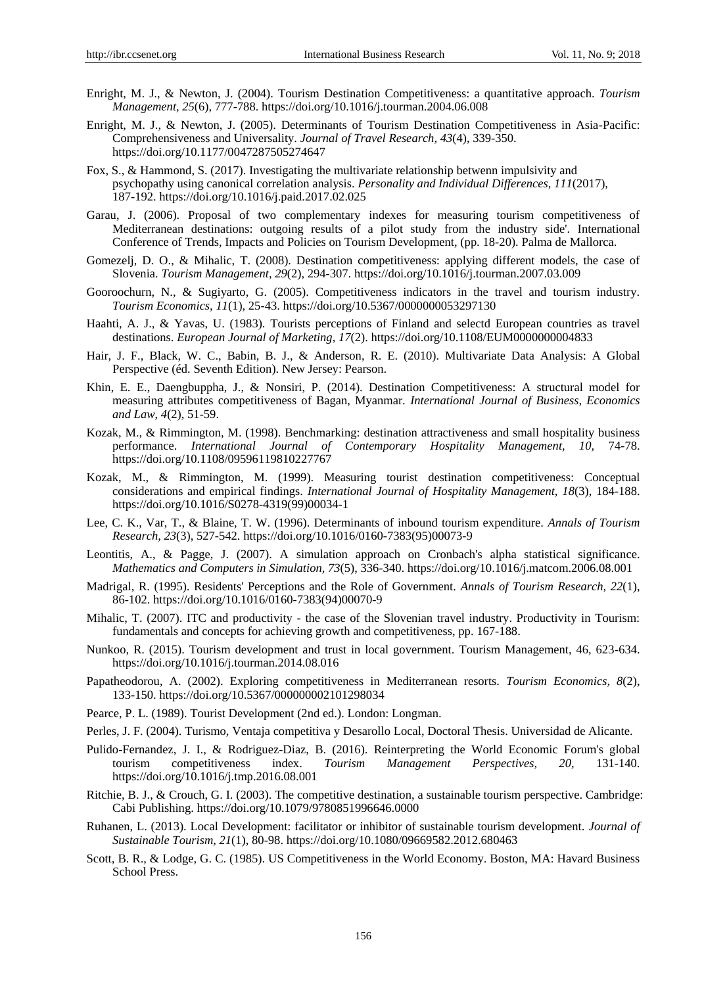- Enright, M. J., & Newton, J. (2004). Tourism Destination Competitiveness: a quantitative approach. *Tourism Management, 25*(6), 777-788. https://doi.org/10.1016/j.tourman.2004.06.008
- Enright, M. J., & Newton, J. (2005). Determinants of Tourism Destination Competitiveness in Asia-Pacific: Comprehensiveness and Universality. *Journal of Travel Research, 43*(4), 339-350. https://doi.org/10.1177/0047287505274647
- Fox, S., & Hammond, S. (2017). Investigating the multivariate relationship betwenn impulsivity and psychopathy using canonical correlation analysis. *Personality and Individual Differences, 111*(2017), 187-192. https://doi.org/10.1016/j.paid.2017.02.025
- Garau, J. (2006). Proposal of two complementary indexes for measuring tourism competitiveness of Mediterranean destinations: outgoing results of a pilot study from the industry side'. International Conference of Trends, Impacts and Policies on Tourism Development, (pp. 18-20). Palma de Mallorca.
- Gomezelj, D. O., & Mihalic, T. (2008). Destination competitiveness: applying different models, the case of Slovenia. *Tourism Management, 29*(2), 294-307. https://doi.org/10.1016/j.tourman.2007.03.009
- Gooroochurn, N., & Sugiyarto, G. (2005). Competitiveness indicators in the travel and tourism industry. *Tourism Economics, 11*(1), 25-43. https://doi.org/10.5367/0000000053297130
- Haahti, A. J., & Yavas, U. (1983). Tourists perceptions of Finland and selectd European countries as travel destinations. *European Journal of Marketing, 17*(2). https://doi.org/10.1108/EUM0000000004833
- Hair, J. F., Black, W. C., Babin, B. J., & Anderson, R. E. (2010). Multivariate Data Analysis: A Global Perspective (éd. Seventh Edition). New Jersey: Pearson.
- Khin, E. E., Daengbuppha, J., & Nonsiri, P. (2014). Destination Competitiveness: A structural model for measuring attributes competitiveness of Bagan, Myanmar. *International Journal of Business, Economics and Law, 4*(2), 51-59.
- Kozak, M., & Rimmington, M. (1998). Benchmarking: destination attractiveness and small hospitality business performance. *International Journal of Contemporary Hospitality Management, 10,* 74-78. https://doi.org/10.1108/09596119810227767
- Kozak, M., & Rimmington, M. (1999). Measuring tourist destination competitiveness: Conceptual considerations and empirical findings. *International Journal of Hospitality Management, 18*(3), 184-188. https://doi.org/10.1016/S0278-4319(99)00034-1
- Lee, C. K., Var, T., & Blaine, T. W. (1996). Determinants of inbound tourism expenditure. *Annals of Tourism Research, 23*(3), 527-542. https://doi.org/10.1016/0160-7383(95)00073-9
- Leontitis, A., & Pagge, J. (2007). A simulation approach on Cronbach's alpha statistical significance. *Mathematics and Computers in Simulation, 73*(5), 336-340. https://doi.org/10.1016/j.matcom.2006.08.001
- Madrigal, R. (1995). Residents' Perceptions and the Role of Government. *Annals of Tourism Research, 22*(1), 86-102. https://doi.org/10.1016/0160-7383(94)00070-9
- Mihalic, T. (2007). ITC and productivity the case of the Slovenian travel industry. Productivity in Tourism: fundamentals and concepts for achieving growth and competitiveness, pp. 167-188.
- Nunkoo, R. (2015). Tourism development and trust in local government. Tourism Management, 46, 623-634. https://doi.org/10.1016/j.tourman.2014.08.016
- Papatheodorou, A. (2002). Exploring competitiveness in Mediterranean resorts. *Tourism Economics, 8*(2), 133-150. https://doi.org/10.5367/000000002101298034
- Pearce, P. L. (1989). Tourist Development (2nd ed.). London: Longman.
- Perles, J. F. (2004). Turismo, Ventaja competitiva y Desarollo Local, Doctoral Thesis. Universidad de Alicante.
- Pulido-Fernandez, J. I., & Rodriguez-Diaz, B. (2016). Reinterpreting the World Economic Forum's global tourism competitiveness index. Tourism Management Perspectives, 20. 131-140. tourism competitiveness index. *Tourism Management Perspectives, 20,* 131-140. https://doi.org/10.1016/j.tmp.2016.08.001
- Ritchie, B. J., & Crouch, G. I. (2003). The competitive destination, a sustainable tourism perspective. Cambridge: Cabi Publishing. https://doi.org/10.1079/9780851996646.0000
- Ruhanen, L. (2013). Local Development: facilitator or inhibitor of sustainable tourism development. *Journal of Sustainable Tourism, 21*(1), 80-98. https://doi.org/10.1080/09669582.2012.680463
- Scott, B. R., & Lodge, G. C. (1985). US Competitiveness in the World Economy. Boston, MA: Havard Business School Press.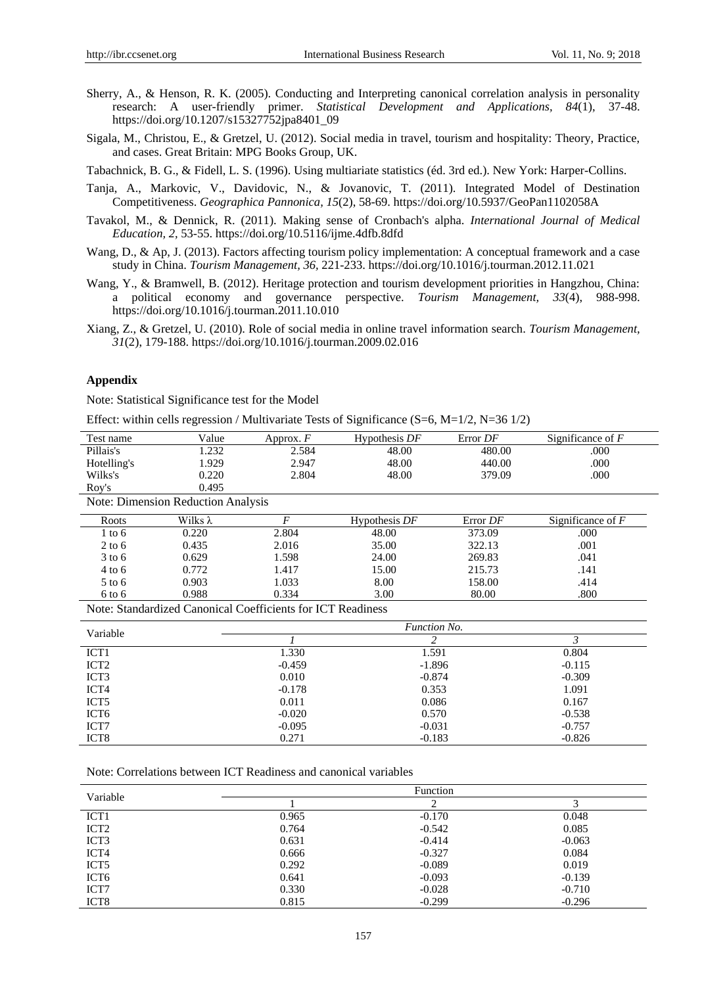- Sherry, A., & Henson, R. K. (2005). Conducting and Interpreting canonical correlation analysis in personality research: A user-friendly primer. *Statistical Development and Applications, 84*(1), 37-48. https://doi.org/10.1207/s15327752jpa8401\_09
- Sigala, M., Christou, E., & Gretzel, U. (2012). Social media in travel, tourism and hospitality: Theory, Practice, and cases. Great Britain: MPG Books Group, UK.

Tabachnick, B. G., & Fidell, L. S. (1996). Using multiariate statistics (éd. 3rd ed.). New York: Harper-Collins.

- Tanja, A., Markovic, V., Davidovic, N., & Jovanovic, T. (2011). Integrated Model of Destination Competitiveness. *Geographica Pannonica, 15*(2), 58-69. https://doi.org/10.5937/GeoPan1102058A
- Tavakol, M., & Dennick, R. (2011). Making sense of Cronbach's alpha. *International Journal of Medical Education, 2,* 53-55. https://doi.org/10.5116/ijme.4dfb.8dfd
- Wang, D., & Ap, J. (2013). Factors affecting tourism policy implementation: A conceptual framework and a case study in China. *Tourism Management, 36,* 221-233. https://doi.org/10.1016/j.tourman.2012.11.021
- Wang, Y., & Bramwell, B. (2012). Heritage protection and tourism development priorities in Hangzhou, China: a political economy and governance perspective. *Tourism Management, 33*(4), 988-998. https://doi.org/10.1016/j.tourman.2011.10.010
- Xiang, Z., & Gretzel, U. (2010). Role of social media in online travel information search. *Tourism Management, 31*(2), 179-188. https://doi.org/10.1016/j.tourman.2009.02.016

#### **Appendix**

Note: Statistical Significance test for the Model

Effect: within cells regression / Multivariate Tests of Significance (S=6, M=1/2, N=36 1/2)

| Test name        | Value                                                       | Approx. $F$    | Hypothesis $\overline{DF}$ | Error DF | Significance of $F$ |
|------------------|-------------------------------------------------------------|----------------|----------------------------|----------|---------------------|
| Pillais's        | 1.232                                                       | 2.584          | 48.00                      | 480.00   | .000                |
| Hotelling's      | 1.929                                                       | 2.947          | 48.00                      | 440.00   | .000                |
| Wilks's          | 0.220                                                       | 2.804          | 48.00                      | 379.09   | .000                |
| Roy's            | 0.495                                                       |                |                            |          |                     |
|                  | Note: Dimension Reduction Analysis                          |                |                            |          |                     |
| Roots            | Wilks λ                                                     | $\overline{F}$ | Hypothesis DF              | Error DF | Significance of $F$ |
| $1$ to $6$       | 0.220                                                       | 2.804          | 48.00                      | 373.09   | .000                |
| $2$ to 6         | 0.435                                                       | 2.016          | 35.00                      | 322.13   | .001                |
| $3$ to 6         | 0.629                                                       | 1.598          | 24.00                      | 269.83   | .041                |
| $4$ to 6         | 0.772                                                       | 1.417          | 15.00                      | 215.73   | .141                |
| $5$ to 6         | 0.903                                                       | 1.033          | 8.00                       | 158.00   | .414                |
| 6 to 6           | 0.988                                                       | 0.334          | 3.00                       | 80.00    | .800                |
|                  | Note: Standardized Canonical Coefficients for ICT Readiness |                |                            |          |                     |
| Variable         |                                                             |                | Function No.               |          |                     |
|                  |                                                             | $\mathcal{I}$  | 2                          |          | $\mathfrak{Z}$      |
| ICT <sub>1</sub> |                                                             | 1.330          | 1.591                      |          | 0.804               |
| ICT <sub>2</sub> |                                                             | $-0.459$       | $-1.896$                   |          | $-0.115$            |
| ICT <sub>3</sub> |                                                             | 0.010          | $-0.874$                   |          | $-0.309$            |
| ICT4             |                                                             | $-0.178$       | 0.353                      |          | 1.091               |
| ICT <sub>5</sub> |                                                             | 0.011          | 0.086                      |          | 0.167               |
| ICT <sub>6</sub> |                                                             | $-0.020$       | 0.570                      |          | $-0.538$            |
| ICT7             |                                                             | $-0.095$       | $-0.031$                   |          | $-0.757$            |
| ICT <sub>8</sub> |                                                             | 0.271          | $-0.183$                   |          | $-0.826$            |

Note: Correlations between ICT Readiness and canonical variables

| Variable         |       | Function |          |
|------------------|-------|----------|----------|
|                  |       |          |          |
| ICT <sub>1</sub> | 0.965 | $-0.170$ | 0.048    |
| ICT <sub>2</sub> | 0.764 | $-0.542$ | 0.085    |
| ICT <sub>3</sub> | 0.631 | $-0.414$ | $-0.063$ |
| ICT4             | 0.666 | $-0.327$ | 0.084    |
| ICT5             | 0.292 | $-0.089$ | 0.019    |
| ICT6             | 0.641 | $-0.093$ | $-0.139$ |
| ICT7             | 0.330 | $-0.028$ | $-0.710$ |
| ICT8             | 0.815 | $-0.299$ | $-0.296$ |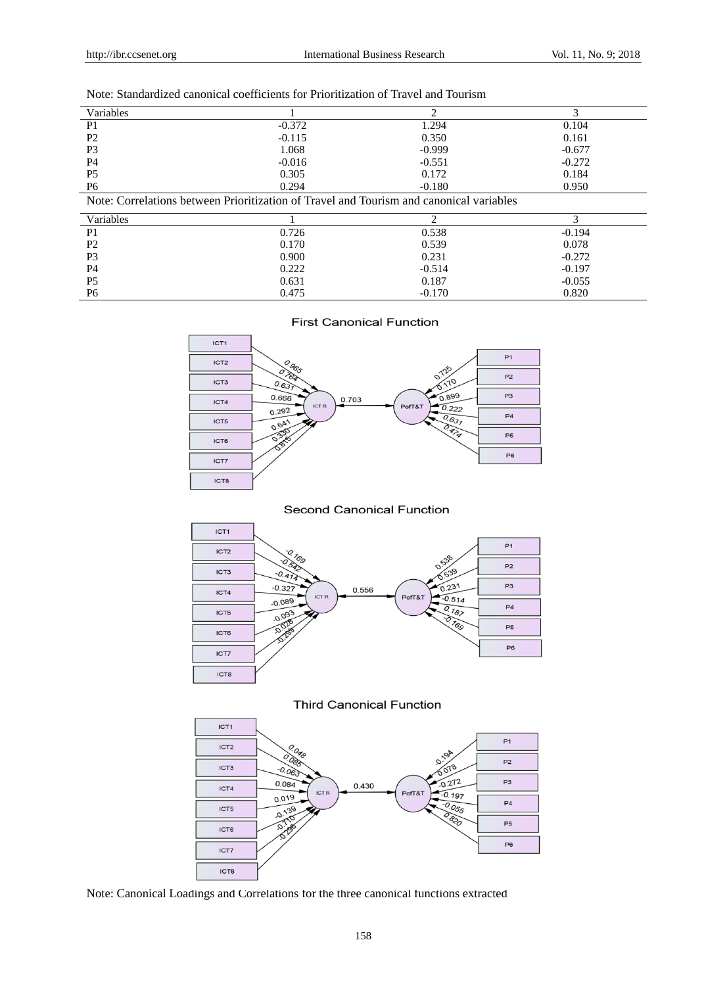| Note: Standardized canonical coefficients for Prioritization of Travel and Tourism |  |
|------------------------------------------------------------------------------------|--|
|------------------------------------------------------------------------------------|--|

| Variables                                                                               |          | $\overline{c}$              | 3             |  |  |
|-----------------------------------------------------------------------------------------|----------|-----------------------------|---------------|--|--|
| P <sub>1</sub>                                                                          | $-0.372$ | 1.294                       | 0.104         |  |  |
| P <sub>2</sub>                                                                          | $-0.115$ | 0.350                       | 0.161         |  |  |
| P <sub>3</sub>                                                                          | 1.068    | $-0.999$                    | $-0.677$      |  |  |
| <b>P4</b>                                                                               | $-0.016$ | $-0.551$                    | $-0.272$      |  |  |
| P <sub>5</sub>                                                                          | 0.305    | 0.172                       | 0.184         |  |  |
| P <sub>6</sub>                                                                          | 0.294    | $-0.180$                    | 0.950         |  |  |
| Note: Correlations between Prioritization of Travel and Tourism and canonical variables |          |                             |               |  |  |
| Variables                                                                               |          | $\mathcal{D}_{\mathcal{L}}$ | $\mathcal{R}$ |  |  |
| P <sub>1</sub>                                                                          | 0.726    | 0.538                       | $-0.194$      |  |  |
| P <sub>2</sub>                                                                          | 0.170    | 0.539                       | 0.078         |  |  |
| P <sub>3</sub>                                                                          | 0.900    | 0.231                       | $-0.272$      |  |  |
| P <sub>4</sub>                                                                          | 0.222    | $-0.514$                    | $-0.197$      |  |  |
| P <sub>5</sub>                                                                          | 0.631    | 0.187                       | $-0.055$      |  |  |
| P6                                                                                      | 0.475    | $-0.170$                    | 0.820         |  |  |

#### **First Canonical Function**



## **Second Canonical Function**



#### **Third Canonical Function**



Note: Canonical Loadings and Correlations for the three canonical functions extracted